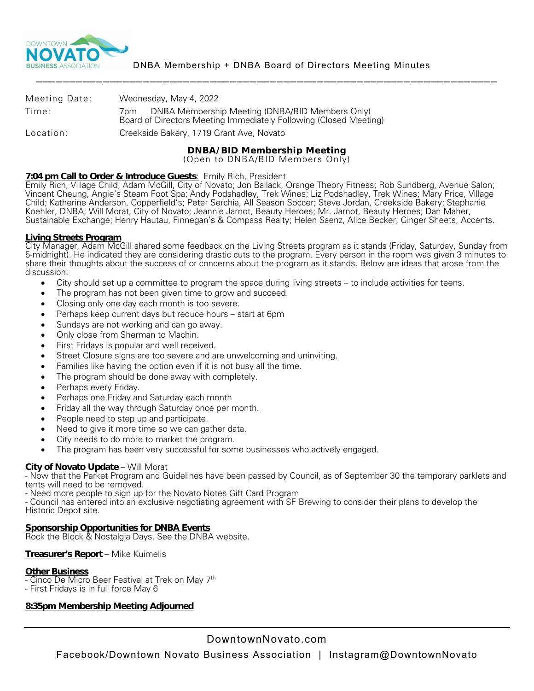

| Meeting Date: | Wednesday, May 4, 2022                                                                                                      |
|---------------|-----------------------------------------------------------------------------------------------------------------------------|
| Time:         | DNBA Membership Meeting (DNBA/BID Members Only)<br>/pm<br>Board of Directors Meeting Immediately Following (Closed Meeting) |
| Location:     | Creekside Bakery, 1719 Grant Ave, Novato                                                                                    |

## **DNBA/BID Membership Meeting**

(Open to DNBA/BID Members Only)

## **7:04 pm Call to Order & Introduce Guests**: Emily Rich, President

Emily Rich, Village Child; Adam McGill, City of Novato; Jon Ballack, Orange Theory Fitness; Rob Sundberg, Avenue Salon; Vincent Cheung, Angie's Steam Foot Spa; Andy Podshadley, Trek Wines; Liz Podshadley, Trek Wines; Mary Price, Village Child; Katherine Anderson, Copperfield's; Peter Serchia, All Season Soccer; Steve Jordan, Creekside Bakery; Stephanie Koehler, DNBA; Will Morat, City of Novato; Jeannie Jarnot, Beauty Heroes; Mr. Jarnot, Beauty Heroes; Dan Maher, Sustainable Exchange; Henry Hautau, Finnegan's & Compass Realty; Helen Saenz, Alice Becker; Ginger Sheets, Accents.

## **Living Streets Program**

City Manager, Adam McGill shared some feedback on the Living Streets program as it stands (Friday, Saturday, Sunday from 5-midnight). He indicated they are considering drastic cuts to the program. Every person in the room was given 3 minutes to share their thoughts about the success of or concerns about the program as it stands. Below are ideas that arose from the discussion:

- City should set up a committee to program the space during living streets to include activities for teens.
- The program has not been given time to grow and succeed.
- Closing only one day each month is too severe.
- Perhaps keep current days but reduce hours start at 6pm
- Sundays are not working and can go away.
- Only close from Sherman to Machin.
- First Fridays is popular and well received.
- Street Closure signs are too severe and are unwelcoming and uninviting.
- Families like having the option even if it is not busy all the time.
- The program should be done away with completely.
- Perhaps every Friday.
- Perhaps one Friday and Saturday each month
- Friday all the way through Saturday once per month.
- People need to step up and participate.
- Need to give it more time so we can gather data.
- City needs to do more to market the program.
- The program has been very successful for some businesses who actively engaged.

**City of Novato Update** – Will Morat<br>- Now that the Parket Program and Guidelines have been passed by Council, as of September 30 the temporary parklets and<br>tents will need to be removed.

- Need more people to sign up for the Novato Notes Gift Card Program

- Council has entered into an exclusive negotiating agreement with SF Brewing to consider their plans to develop the Historic Depot site.

## **Sponsorship Opportunities for DNBA Events**

Rock the Block & Nostalgia Days. See the DNBA website.

## **Treasurer's Report** – Mike Kuimelis

- **Other Business** Cinco De Micro Beer Festival at Trek on May 7th
- First Fridays is in full force May 6

## **8:35pm Membership Meeting Adjourned**

# DowntownNovato.com

Facebook/Downtown Novato Business Association | Instagram@DowntownNovato